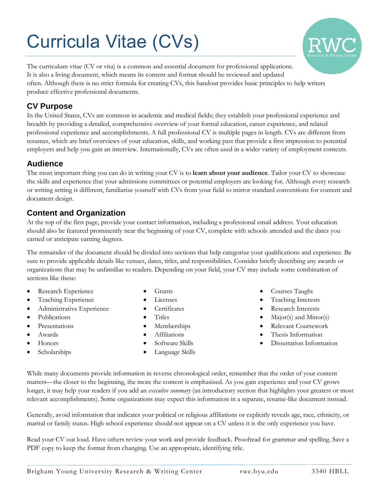# Curricula Vitae (CVs)



The curriculum vitae (CV or vita) is a common and essential document for professional applications. It is also a living document, which means its content and format should be reviewed and updated often. Although there is no strict formula for creating CVs, this handout provides basic principles to help writers produce effective professional documents.

### **CV Purpose**

In the United States, CVs are common in academic and medical fields; they establish your professional experience and breadth by providing a detailed, comprehensive overview of your formal education, career experience, and related professional experience and accomplishments. A full professional CV is multiple pages in length. CVs are different from resumes, which are brief overviews of your education, skills, and working past that provide a first impression to potential employers and help you gain an interview. Internationally, CVs are often used in a wider variety of employment contexts.

#### **Audience**

The most important thing you can do in writing your CV is to **learn about your audience**. Tailor your CV to showcase the skills and experience that your admissions committees or potential employers are looking for. Although every research or writing setting is different, familiarize yourself with CVs from your field to mirror standard conventions for content and document design.

## **Content and Organization**

At the top of the first page, provide your contact information, including a professional email address. Your education should also be featured prominently near the beginning of your CV, complete with schools attended and the dates you earned or anticipate earning degrees.

The remainder of the document should be divided into sections that help categorize your qualifications and experience. Be sure to provide applicable details like venues, dates, titles, and responsibilities. Consider briefly describing any awards or organizations that may be unfamiliar to readers. Depending on your field, your CV may include some combination of sections like these:

- Research Experience
- Teaching Experience
- **•** Administrative Experience
- Publications
- Presentations
- Awards
- Honors
- Scholarships
- Grants
- Licenses
- **Certificates**
- Titles
- Memberships
- Affiliations
- Software Skills
- Language Skills
- Courses Taught
- Teaching Interests
- Research Interests
- Major(s) and Minor(s)
- Relevant Coursework
- Thesis Information
- Dissertation Information

While many documents provide information in reverse chronological order, remember that the order of your content matters—the closer to the beginning, the more the content is emphasized. As you gain experience and your CV grows longer, it may help your readers if you add an *executive summary* (an introductory section that highlights your greatest or most relevant accomplishments). Some organizations may expect this information in a separate, resume-like document instead.

Generally, avoid information that indicates your political or religious affiliations or explicitly reveals age, race, ethnicity, or marital or family status. High school experience should not appear on a CV unless it is the only experience you have.

Read your CV out loud. Have others review your work and provide feedback. Proofread for grammar and spelling. Save a PDF copy to keep the format from changing. Use an appropriate, identifying title.